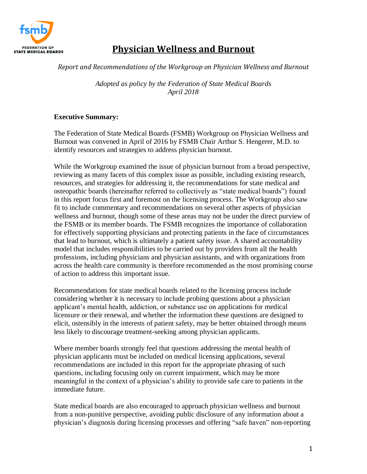

# **Physician Wellness and Burnout**

#### *Report and Recommendations of the Workgroup on Physician Wellness and Burnout*

*Adopted as policy by the Federation of State Medical Boards April 2018*

# **Executive Summary:**

The Federation of State Medical Boards (FSMB) Workgroup on Physician Wellness and Burnout was convened in April of 2016 by FSMB Chair Arthur S. Hengerer, M.D. to identify resources and strategies to address physician burnout.

While the Workgroup examined the issue of physician burnout from a broad perspective, reviewing as many facets of this complex issue as possible, including existing research, resources, and strategies for addressing it, the recommendations for state medical and osteopathic boards (hereinafter referred to collectively as "state medical boards") found in this report focus first and foremost on the licensing process. The Workgroup also saw fit to include commentary and recommendations on several other aspects of physician wellness and burnout, though some of these areas may not be under the direct purview of the FSMB or its member boards. The FSMB recognizes the importance of collaboration for effectively supporting physicians and protecting patients in the face of circumstances that lead to burnout, which is ultimately a patient safety issue. A shared accountability model that includes responsibilities to be carried out by providers from all the health professions, including physicians and physician assistants, and with organizations from across the health care community is therefore recommended as the most promising course of action to address this important issue.

Recommendations for state medical boards related to the licensing process include considering whether it is necessary to include probing questions about a physician applicant's mental health, addiction, or substance use on applications for medical licensure or their renewal, and whether the information these questions are designed to elicit, ostensibly in the interests of patient safety, may be better obtained through means less likely to discourage treatment-seeking among physician applicants.

Where member boards strongly feel that questions addressing the mental health of physician applicants must be included on medical licensing applications, several recommendations are included in this report for the appropriate phrasing of such questions, including focusing only on current impairment, which may be more meaningful in the context of a physician's ability to provide safe care to patients in the immediate future.

State medical boards are also encouraged to approach physician wellness and burnout from a non-punitive perspective, avoiding public disclosure of any information about a physician's diagnosis during licensing processes and offering "safe haven" non-reporting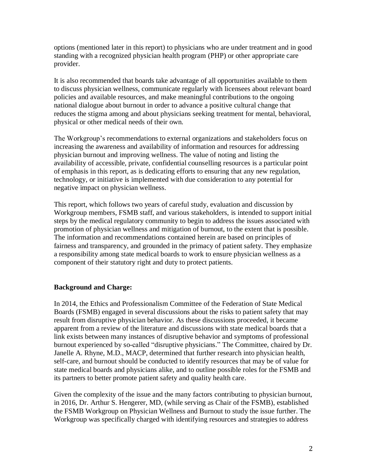options (mentioned later in this report) to physicians who are under treatment and in good standing with a recognized physician health program (PHP) or other appropriate care provider.

It is also recommended that boards take advantage of all opportunities available to them to discuss physician wellness, communicate regularly with licensees about relevant board policies and available resources, and make meaningful contributions to the ongoing national dialogue about burnout in order to advance a positive cultural change that reduces the stigma among and about physicians seeking treatment for mental, behavioral, physical or other medical needs of their own.

The Workgroup's recommendations to external organizations and stakeholders focus on increasing the awareness and availability of information and resources for addressing physician burnout and improving wellness. The value of noting and listing the availability of accessible, private, confidential counselling resources is a particular point of emphasis in this report, as is dedicating efforts to ensuring that any new regulation, technology, or initiative is implemented with due consideration to any potential for negative impact on physician wellness.

This report, which follows two years of careful study, evaluation and discussion by Workgroup members, FSMB staff, and various stakeholders, is intended to support initial steps by the medical regulatory community to begin to address the issues associated with promotion of physician wellness and mitigation of burnout, to the extent that is possible. The information and recommendations contained herein are based on principles of fairness and transparency, and grounded in the primacy of patient safety. They emphasize a responsibility among state medical boards to work to ensure physician wellness as a component of their statutory right and duty to protect patients.

#### **Background and Charge:**

In 2014, the Ethics and Professionalism Committee of the Federation of State Medical Boards (FSMB) engaged in several discussions about the risks to patient safety that may result from disruptive physician behavior. As these discussions proceeded, it became apparent from a review of the literature and discussions with state medical boards that a link exists between many instances of disruptive behavior and symptoms of professional burnout experienced by so-called "disruptive physicians." The Committee, chaired by Dr. Janelle A. Rhyne, M.D., MACP, determined that further research into physician health, self-care, and burnout should be conducted to identify resources that may be of value for state medical boards and physicians alike, and to outline possible roles for the FSMB and its partners to better promote patient safety and quality health care.

Given the complexity of the issue and the many factors contributing to physician burnout, in 2016, Dr. Arthur S. Hengerer, MD, (while serving as Chair of the FSMB), established the FSMB Workgroup on Physician Wellness and Burnout to study the issue further. The Workgroup was specifically charged with identifying resources and strategies to address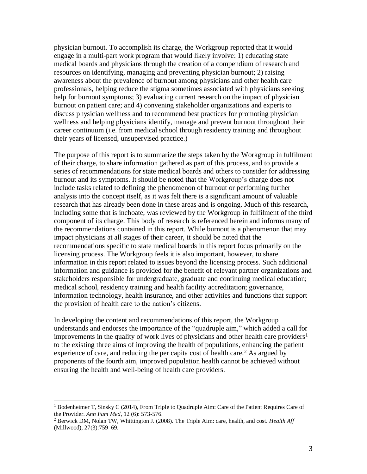physician burnout. To accomplish its charge, the Workgroup reported that it would engage in a multi-part work program that would likely involve: 1) educating state medical boards and physicians through the creation of a compendium of research and resources on identifying, managing and preventing physician burnout; 2) raising awareness about the prevalence of burnout among physicians and other health care professionals, helping reduce the stigma sometimes associated with physicians seeking help for burnout symptoms; 3) evaluating current research on the impact of physician burnout on patient care; and 4) convening stakeholder organizations and experts to discuss physician wellness and to recommend best practices for promoting physician wellness and helping physicians identify, manage and prevent burnout throughout their career continuum (i.e. from medical school through residency training and throughout their years of licensed, unsupervised practice.)

The purpose of this report is to summarize the steps taken by the Workgroup in fulfilment of their charge, to share information gathered as part of this process, and to provide a series of recommendations for state medical boards and others to consider for addressing burnout and its symptoms. It should be noted that the Workgroup's charge does not include tasks related to defining the phenomenon of burnout or performing further analysis into the concept itself, as it was felt there is a significant amount of valuable research that has already been done in these areas and is ongoing. Much of this research, including some that is inchoate, was reviewed by the Workgroup in fulfilment of the third component of its charge. This body of research is referenced herein and informs many of the recommendations contained in this report. While burnout is a phenomenon that may impact physicians at all stages of their career, it should be noted that the recommendations specific to state medical boards in this report focus primarily on the licensing process. The Workgroup feels it is also important, however, to share information in this report related to issues beyond the licensing process. Such additional information and guidance is provided for the benefit of relevant partner organizations and stakeholders responsible for undergraduate, graduate and continuing medical education; medical school, residency training and health facility accreditation; governance, information technology, health insurance, and other activities and functions that support the provision of health care to the nation's citizens.

In developing the content and recommendations of this report, the Workgroup understands and endorses the importance of the "quadruple aim," which added a call for improvements in the quality of work lives of physicians and other health care providers<sup>1</sup> to the existing three aims of improving the health of populations, enhancing the patient experience of care, and reducing the per capita cost of health care.<sup>2</sup> As argued by proponents of the fourth aim, improved population health cannot be achieved without ensuring the health and well-being of health care providers.

 $\overline{a}$ 

<sup>&</sup>lt;sup>1</sup> Bodenheimer T, Sinsky C (2014), From Triple to Quadruple Aim: Care of the Patient Requires Care of the Provider. *Ann Fam Med*, 12 (6): 573-576.

<sup>2</sup> Berwick DM, Nolan TW, Whittington J. (2008). The Triple Aim: care, health, and cost. *Health Aff* (Millwood), 27(3):759–69.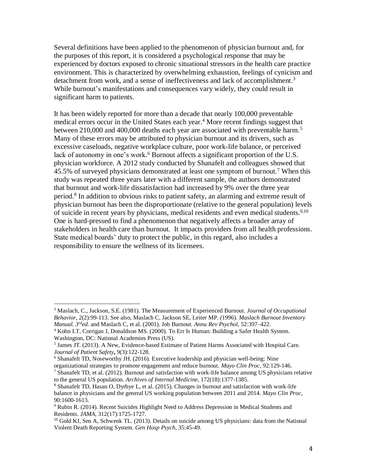Several definitions have been applied to the phenomenon of physician burnout and, for the purposes of this report, it is considered a psychological response that may be experienced by doctors exposed to chronic situational stressors in the health care practice environment. This is characterized by overwhelming exhaustion, feelings of cynicism and detachment from work, and a sense of ineffectiveness and lack of accomplishment.<sup>3</sup> While burnout's manifestations and consequences vary widely, they could result in significant harm to patients.

It has been widely reported for more than a decade that nearly 100,000 preventable medical errors occur in the United States each year. <sup>4</sup> More recent findings suggest that between 210,000 and 400,000 deaths each year are associated with preventable harm.<sup>5</sup> Many of these errors may be attributed to physician burnout and its drivers, such as excessive caseloads, negative workplace culture, poor work-life balance, or perceived lack of autonomy in one's work.<sup>6</sup> Burnout affects a significant proportion of the U.S. physician workforce. A 2012 study conducted by Shanafelt and colleagues showed that 45.5% of surveyed physicians demonstrated at least one symptom of burnout.<sup>7</sup> When this study was repeated three years later with a different sample, the authors demonstrated that burnout and work-life dissatisfaction had increased by 9% over the three year period.<sup>8</sup> In addition to obvious risks to patient safety, an alarming and extreme result of physician burnout has been the disproportionate (relative to the general population) levels of suicide in recent years by physicians, medical residents and even medical students.<sup>9,10</sup> One is hard-pressed to find a phenomenon that negatively affects a broader array of stakeholders in health care than burnout. It impacts providers from all health professions. State medical boards' duty to protect the public, in this regard, also includes a responsibility to ensure the wellness of its licensees.

 $\overline{a}$ 

<sup>3</sup> Maslach, C., Jackson, S.E. (1981). The Measurement of Experienced Burnout. *Journal of Occupational Behavior*, 2(2):99-113. See also, Maslach C, Jackson SE, Leiter MP. *(*1996). *Maslach Burnout Inventory Manual. 3rded*. and Maslach C, et al. (2001). Job Burnout. *Annu Rev Psychol*, 52:397–422.

<sup>4</sup> Kohn LT, Corrigan J, Donaldson MS. (2000). To Err Is Human: Building a Safer Health System. Washington, DC: National Academies Press (US).

<sup>5</sup> James JT. (2013). A New, Evidence-based Estimate of Patient Harms Associated with Hospital Care. *Journal of Patient Safety***,** 9(3):122-128.

<sup>6</sup> Shanafelt TD, Noseworthy JH. (2016). Executive leadership and physician well-being: Nine

organizational strategies to promote engagement and reduce burnout. *Mayo Clin Proc*, 92:129-146.

<sup>7</sup> Shanafelt TD, et al. (2012). Burnout and satisfaction with work-life balance among US physicians relative to the general US population. *Archives of Internal Medicine*, 172(18):1377-1385.

<sup>8</sup> Shanafelt TD, Hasan O, Dyrbye L, et al. (2015). Changes in burnout and satisfaction with work-life balance in physicians and the general US working population between 2011 and 2014. *Mayo Clin Proc,*  90:1600-1613.

<sup>9</sup> Rubin R. (2014). Recent Suicides Highlight Need to Address Depression in Medical Students and Residents. *JAMA,* 312(17):1725-1727.

<sup>&</sup>lt;sup>10</sup> Gold KJ, Sen A, Schwenk TL. (2013). Details on suicide among US physicians: data from the National Violent Death Reporting System. *Gen Hosp Psych,* 35:45-49.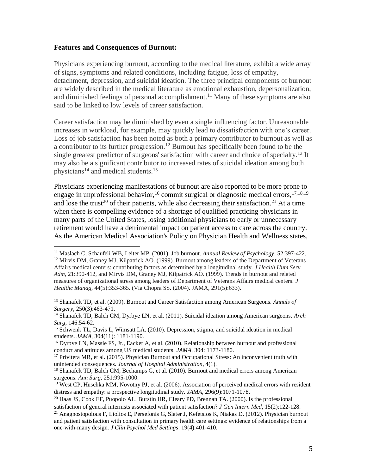#### **Features and Consequences of Burnout:**

 $\overline{a}$ 

Physicians experiencing burnout, according to the medical literature, exhibit a wide array of signs, symptoms and related conditions, including fatigue, loss of empathy, detachment, depression, and suicidal ideation. The three principal components of burnout are widely described in the medical literature as emotional exhaustion, depersonalization, and diminished feelings of personal accomplishment.<sup>11</sup> Many of these symptoms are also said to be linked to low levels of career satisfaction.

Career satisfaction may be diminished by even a single influencing factor. Unreasonable increases in workload, for example, may quickly lead to dissatisfaction with one's career. Loss of job satisfaction has been noted as both a primary contributor to burnout as well as a contributor to its further progression.<sup>12</sup> Burnout has specifically been found to be the single greatest predictor of surgeons' satisfaction with career and choice of specialty. <sup>13</sup> It may also be a significant contributor to increased rates of suicidal ideation among both physicians<sup>14</sup> and medical students.<sup>15</sup>

Physicians experiencing manifestations of burnout are also reported to be more prone to engage in unprofessional behavior,  $16$  commit surgical or diagnostic medical errors,  $17,18,19$ and lose the trust<sup>20</sup> of their patients, while also decreasing their satisfaction.<sup>21</sup> At a time when there is compelling evidence of a shortage of qualified practicing physicians in many parts of the United States, losing additional physicians to early or unnecessary retirement would have a detrimental impact on patient access to care across the country. As the American Medical Association's Policy on Physician Health and Wellness states,

<sup>11</sup> Maslach C, Schaufeli WB, Leiter MP. (2001). Job burnout. *Annual Review of Psychology,* 52:397-422. <sup>12</sup> Mirvis DM, Graney MJ, Kilpatrick AO. (1999). Burnout among leaders of the Department of Veterans Affairs medical centers: contributing factors as determined by a longitudinal study. *J Health Hum Serv Adm,* 21:390-412, and Mirvis DM, Graney MJ, Kilpatrick AO. (1999). Trends in burnout and related measures of organizational stress among leaders of Department of Veterans Affairs medical centers. *J Healthc Manag*, 44(5):353-365. (Via Chopra SS. (2004). JAMA, 291(5):633).

<sup>13</sup> Shanafelt TD, et al. (2009). Burnout and Career Satisfaction among American Surgeons. *Annals of Surgery*, 250(3):463-471.

<sup>14</sup> Shanafelt TD, Balch CM, Dyrbye LN, et al. (2011). Suicidal ideation among American surgeons. *Arch Surg*, 146:54-62.

<sup>15</sup> Schwenk TL, Davis L, Wimsatt LA. (2010). Depression, stigma, and suicidal ideation in medical students. *JAMA*, 304(11): 1181-1190.

<sup>&</sup>lt;sup>16</sup> Dyrbye LN, Massie FS, Jr., Eacker A, et al. (2010). Relationship between burnout and professional conduct and attitudes among US medical students. *JAMA,* 304: 1173-1180.

<sup>&</sup>lt;sup>17</sup> Privitera MR, et al. (2015). Physician Burnout and Occupational Stress: An inconvenient truth with unintended consequences. *Journal of Hospital Administration*, 4(1).

<sup>&</sup>lt;sup>18</sup> Shanafelt TD, Balch CM, Bechamps G, et al. (2010). Burnout and medical errors among American surgeons. *Ann Surg,* 251:995-1000.

<sup>&</sup>lt;sup>19</sup> West CP, Huschka MM, Novotny PJ, et al. (2006). Association of perceived medical errors with resident distress and empathy: a prospective longitudinal study. *JAMA*, 296(9):1071-1078.

<sup>&</sup>lt;sup>20</sup> Haas JS, Cook EF, Puopolo AL, Burstin HR, Cleary PD, Brennan TA. (2000). Is the professional satisfaction of general internists associated with patient satisfaction? *J Gen Intern Med*, 15(2):122-128.

<sup>&</sup>lt;sup>21</sup> Anagnostopolous F, Liolios E, Persefonis G, Slater J, Kefetsios K, Niakas D. (2012). Physician burnout and patient satisfaction with consultation in primary health care settings: evidence of relationships from a one-with-many design. *J Clin Psychol Med Settings*. 19(4):401-410.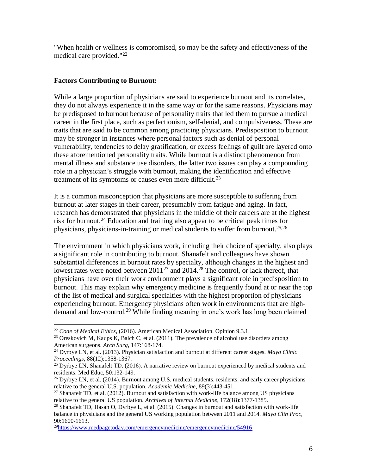"When health or wellness is compromised, so may be the safety and effectiveness of the medical care provided."<sup>22</sup>

## **Factors Contributing to Burnout:**

While a large proportion of physicians are said to experience burnout and its correlates, they do not always experience it in the same way or for the same reasons. Physicians may be predisposed to burnout because of personality traits that led them to pursue a medical career in the first place, such as perfectionism, self-denial, and compulsiveness. These are traits that are said to be common among practicing physicians. Predisposition to burnout may be stronger in instances where personal factors such as denial of personal vulnerability, tendencies to delay gratification, or excess feelings of guilt are layered onto these aforementioned personality traits. While burnout is a distinct phenomenon from mental illness and substance use disorders, the latter two issues can play a compounding role in a physician's struggle with burnout, making the identification and effective treatment of its symptoms or causes even more difficult.<sup>23</sup>

It is a common misconception that physicians are more susceptible to suffering from burnout at later stages in their career, presumably from fatigue and aging. In fact, research has demonstrated that physicians in the middle of their careers are at the highest risk for burnout.<sup>24</sup> Education and training also appear to be critical peak times for physicians, physicians-in-training or medical students to suffer from burnout.25,26

The environment in which physicians work, including their choice of specialty, also plays a significant role in contributing to burnout. Shanafelt and colleagues have shown substantial differences in burnout rates by specialty, although changes in the highest and lowest rates were noted between  $2011^{27}$  and  $2014<sup>28</sup>$  The control, or lack thereof, that physicians have over their work environment plays a significant role in predisposition to burnout. This may explain why emergency medicine is frequently found at or near the top of the list of medical and surgical specialties with the highest proportion of physicians experiencing burnout. Emergency physicians often work in environments that are highdemand and low-control.<sup>29</sup> While finding meaning in one's work has long been claimed

 $\overline{a}$ 

<sup>22</sup> *Code of Medical Ethics*, (2016). American Medical Association, Opinion 9.3.1.

 $23$  Oreskovich M, Kaups K, Balch C, et al. (2011). The prevalence of alcohol use disorders among American surgeons. *Arch Surg*, 147:168-174.

<sup>24</sup> Dyrbye LN, et al. (2013). Physician satisfaction and burnout at different career stages. *Mayo Clinic Proceedings*, 88(12):1358-1367.

 $^{25}$  Dyrbye LN, Shanafelt TD. (2016). A narrative review on burnout experienced by medical students and residents. Med Educ, 50:132-149.

<sup>&</sup>lt;sup>26</sup> Dyrbye LN, et al. (2014). Burnout among U.S. medical students, residents, and early career physicians relative to the general U.S. population. *Academic Medicine*, 89(3):443-451.

 $27$  Shanafelt TD, et al. (2012). Burnout and satisfaction with work-life balance among US physicians relative to the general US population. *Archives of Internal Medicine,* 172(18):1377-1385.

 $^{28}$  Shanafelt TD, Hasan O, Dyrbye L, et al. (2015). Changes in burnout and satisfaction with work-life balance in physicians and the general US working population between 2011 and 2014. *Mayo Clin Proc,*  90:1600-1613.

 $^{29}$ <https://www.medpagetoday.com/emergencymedicine/emergencymedicine/54916>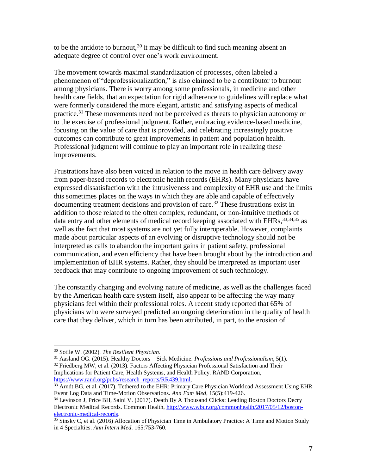to be the antidote to burnout,<sup>30</sup> it may be difficult to find such meaning absent an adequate degree of control over one's work environment.

The movement towards maximal standardization of processes, often labeled a phenomenon of "deprofessionalization," is also claimed to be a contributor to burnout among physicians. There is worry among some professionals, in medicine and other health care fields, that an expectation for rigid adherence to guidelines will replace what were formerly considered the more elegant, artistic and satisfying aspects of medical practice.<sup>31</sup> These movements need not be perceived as threats to physician autonomy or to the exercise of professional judgment. Rather, embracing evidence-based medicine, focusing on the value of care that is provided, and celebrating increasingly positive outcomes can contribute to great improvements in patient and population health. Professional judgment will continue to play an important role in realizing these improvements.

Frustrations have also been voiced in relation to the move in health care delivery away from paper-based records to electronic health records (EHRs). Many physicians have expressed dissatisfaction with the intrusiveness and complexity of EHR use and the limits this sometimes places on the ways in which they are able and capable of effectively documenting treatment decisions and provision of care.<sup>32</sup> These frustrations exist in addition to those related to the often complex, redundant, or non-intuitive methods of data entry and other elements of medical record keeping associated with EHRs, 33,34,35 as well as the fact that most systems are not yet fully interoperable. However, complaints made about particular aspects of an evolving or disruptive technology should not be interpreted as calls to abandon the important gains in patient safety, professional communication, and even efficiency that have been brought about by the introduction and implementation of EHR systems. Rather, they should be interpreted as important user feedback that may contribute to ongoing improvement of such technology.

The constantly changing and evolving nature of medicine, as well as the challenges faced by the American health care system itself, also appear to be affecting the way many physicians feel within their professional roles. A recent study reported that 65% of physicians who were surveyed predicted an ongoing deterioration in the quality of health care that they deliver, which in turn has been attributed, in part, to the erosion of

<sup>30</sup> Sotile W. (2002). *The Resilient Physician*.

<sup>31</sup> Aasland OG. (2015). Healthy Doctors – Sick Medicine. *Professions and Professionalism*, 5(1). <sup>32</sup> Friedberg MW, et al. (2013). Factors Affecting Physician Professional Satisfaction and Their

Implications for Patient Care, Health Systems, and Health Policy. RAND Corporation, [https://www.rand.org/pubs/research\\_reports/RR439.html.](https://www.rand.org/pubs/research_reports/RR439.html)

<sup>&</sup>lt;sup>33</sup> Arndt BG, et al. (2017). Tethered to the EHR: Primary Care Physician Workload Assessment Using EHR Event Log Data and Time-Motion Observations. *Ann Fam Med*, 15(5):419-426.

<sup>&</sup>lt;sup>34</sup> Levinson J, Price BH, Saini V. (2017). Death By A Thousand Clicks: Leading Boston Doctors Decry Electronic Medical Records. Common Health, [http://www.wbur.org/commonhealth/2017/05/12/boston](http://www.wbur.org/commonhealth/2017/05/12/boston-electronic-medical-records)[electronic-medical-records.](http://www.wbur.org/commonhealth/2017/05/12/boston-electronic-medical-records)

<sup>&</sup>lt;sup>35</sup> Sinsky C, et al. (2016) Allocation of Physician Time in Ambulatory Practice: A Time and Motion Study in 4 Specialties. *Ann Intern Med*. 165:753-760.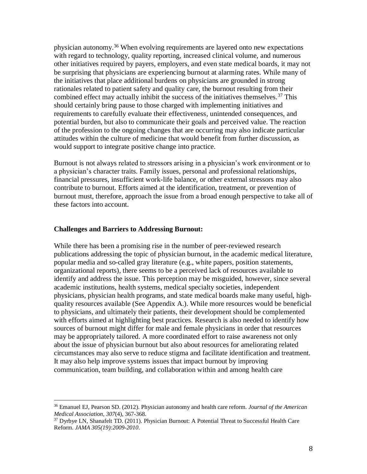physician autonomy. <sup>36</sup> When evolving requirements are layered onto new expectations with regard to technology, quality reporting, increased clinical volume, and numerous other initiatives required by payers, employers, and even state medical boards, it may not be surprising that physicians are experiencing burnout at alarming rates. While many of the initiatives that place additional burdens on physicians are grounded in strong rationales related to patient safety and quality care, the burnout resulting from their combined effect may actually inhibit the success of the initiatives themselves.<sup>37</sup> This should certainly bring pause to those charged with implementing initiatives and requirements to carefully evaluate their effectiveness, unintended consequences, and potential burden, but also to communicate their goals and perceived value. The reaction of the profession to the ongoing changes that are occurring may also indicate particular attitudes within the culture of medicine that would benefit from further discussion, as would support to integrate positive change into practice.

Burnout is not always related to stressors arising in a physician's work environment or to a physician's character traits. Family issues, personal and professional relationships, financial pressures, insufficient work-life balance, or other external stressors may also contribute to burnout. Efforts aimed at the identification, treatment, or prevention of burnout must, therefore, approach the issue from a broad enough perspective to take all of these factors into account.

#### **Challenges and Barriers to Addressing Burnout:**

 $\overline{\phantom{a}}$ 

While there has been a promising rise in the number of peer-reviewed research publications addressing the topic of physician burnout, in the academic medical literature, popular media and so-called gray literature (e.g., white papers, position statements, organizational reports), there seems to be a perceived lack of resources available to identify and address the issue. This perception may be misguided, however, since several academic institutions, health systems, medical specialty societies, independent physicians, physician health programs, and state medical boards make many useful, highquality resources available (See Appendix A.). While more resources would be beneficial to physicians, and ultimately their patients, their development should be complemented with efforts aimed at highlighting best practices. Research is also needed to identify how sources of burnout might differ for male and female physicians in order that resources may be appropriately tailored. A more coordinated effort to raise awareness not only about the issue of physician burnout but also about resources for ameliorating related circumstances may also serve to reduce stigma and facilitate identification and treatment. It may also help improve systems issues that impact burnout by improving communication, team building, and collaboration within and among health care

<sup>36</sup> Emanuel EJ, Pearson SD. (2012). Physician autonomy and health care reform. *Journal of the American Medical Association*, *307*(4), 367-368.

<sup>37</sup> Dyrbye LN, Shanafelt TD. (2011). Physician Burnout: A Potential Threat to Successful Health Care Reform. *JAMA 305(19):2009-2010*.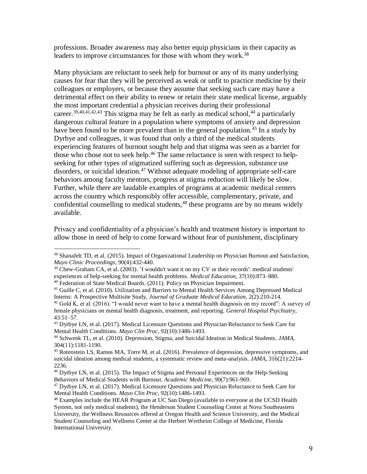professions. Broader awareness may also better equip physicians in their capacity as leaders to improve circumstances for those with whom they work.<sup>38</sup>

Many physicians are reluctant to seek help for burnout or any of its many underlying causes for fear that they will be perceived as weak or unfit to practice medicine by their colleagues or employers, or because they assume that seeking such care may have a detrimental effect on their ability to renew or retain their state medical license, arguably the most important credential a physician receives during their professional career.<sup>39,40,41,42,43</sup> This stigma may be felt as early as medical school,<sup>44</sup> a particularly dangerous cultural feature in a population where symptoms of anxiety and depression have been found to be more prevalent than in the general population.<sup>45</sup> In a study by Dyrbye and colleagues, it was found that only a third of the medical students experiencing features of burnout sought help and that stigma was seen as a barrier for those who chose not to seek help.<sup>46</sup> The same reluctance is seen with respect to helpseeking for other types of stigmatized suffering such as depression, substance use disorders, or suicidal ideation.<sup>47</sup> Without adequate modeling of appropriate self-care behaviors among faculty mentors, progress at stigma reduction will likely be slow. Further, while there are laudable examples of programs at academic medical centers across the country which responsibly offer accessible, complementary, private, and confidential counselling to medical students,<sup>48</sup> these programs are by no means widely available.

Privacy and confidentiality of a physician's health and treatment history is important to allow those in need of help to come forward without fear of punishment, disciplinary

<sup>40</sup> Federation of State Medical Boards. (2011). Policy on Physician Impairment.

 $\overline{\phantom{a}}$ 

<sup>47</sup> Dyrbye LN, et al. (2017). Medical Licensure Questions and Physician Reluctance to Seek Care for Mental Health Conditions. *Mayo Clin Proc*, 92(10):1486-1493.

<sup>&</sup>lt;sup>38</sup> Shanafelt TD, et al. (2015). Impact of Organizational Leadership on Physician Burnout and Satisfaction, *Mayo Clinic Proceedings*, 90(4):432-440.

<sup>39</sup> Chew-Graham CA, et al. (2003). 'I wouldn't want it on my CV or their records': medical students' experiences of help-seeking for mental health problems. *Medical Education*, 37(10):873–880.

<sup>&</sup>lt;sup>41</sup> Guille C, et al. (2010). Utilization and Barriers to Mental Health Services Among Depressed Medical Interns: A Prospective Multisite Study, *Journal of Graduate Medical Education*, 2(2):210-214.

 $42$  Gold K, et al. (2016). "I would never want to have a mental health diagnosis on my record": A survey of female physicians on mental health diagnosis, treatment, and reporting. *General Hospital Psychiatry,* 43:51–57.

<sup>&</sup>lt;sup>43</sup> Dyrbye LN, et al. (2017). Medical Licensure Questions and Physician Reluctance to Seek Care for Mental Health Conditions. *Mayo Clin Proc*, 92(10):1486-1493.

<sup>44</sup> Schwenk TL, et al. (2010). Depression, Stigma, and Suicidal Ideation in Medical Students. *JAMA,*  304(11):1181-1190.

<sup>45</sup> Rotenstein LS, Ramos MA, Torre M, et al. (2016). Prevalence of depression, depressive symptoms, and suicidal ideation among medical students, a systematic review and meta-analysis. *JAMA,* 316(21):2214- 2236.

<sup>46</sup> Dyrbye LN, et al. (2015). The Impact of Stigma and Personal Experiences on the Help-Seeking Behaviors of Medical Students with Burnout. *Academic Medicine*, 90(7):961-969.

<sup>&</sup>lt;sup>48</sup> Examples include the HEAR Program at UC San Diego (available to everyone at the UCSD Health System, not only medical students), the Henderson Student Counseling Center at Nova Southeastern University, the Wellness Resources offered at Oregon Health and Science University, and the Medical Student Counseling and Wellness Center at the Herbert Wertheim College of Medicine, Florida International University.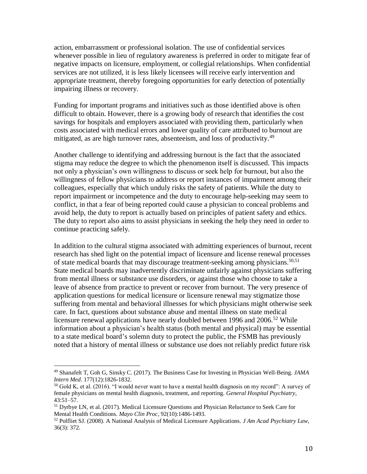action, embarrassment or professional isolation. The use of confidential services whenever possible in lieu of regulatory awareness is preferred in order to mitigate fear of negative impacts on licensure, employment, or collegial relationships. When confidential services are not utilized, it is less likely licensees will receive early intervention and appropriate treatment, thereby foregoing opportunities for early detection of potentially impairing illness or recovery.

Funding for important programs and initiatives such as those identified above is often difficult to obtain. However, there is a growing body of research that identifies the cost savings for hospitals and employers associated with providing them, particularly when costs associated with medical errors and lower quality of care attributed to burnout are mitigated, as are high turnover rates, absenteeism, and loss of productivity.<sup>49</sup>

Another challenge to identifying and addressing burnout is the fact that the associated stigma may reduce the degree to which the phenomenon itself is discussed. This impacts not only a physician's own willingness to discuss or seek help for burnout, but also the willingness of fellow physicians to address or report instances of impairment among their colleagues, especially that which unduly risks the safety of patients. While the duty to report impairment or incompetence and the duty to encourage help-seeking may seem to conflict, in that a fear of being reported could cause a physician to conceal problems and avoid help, the duty to report is actually based on principles of patient safety and ethics. The duty to report also aims to assist physicians in seeking the help they need in order to continue practicing safely.

In addition to the cultural stigma associated with admitting experiences of burnout, recent research has shed light on the potential impact of licensure and license renewal processes of state medical boards that may discourage treatment-seeking among physicians.<sup>50,51</sup> State medical boards may inadvertently discriminate unfairly against physicians suffering from mental illness or substance use disorders, or against those who choose to take a leave of absence from practice to prevent or recover from burnout. The very presence of application questions for medical licensure or licensure renewal may stigmatize those suffering from mental and behavioral illnesses for which physicians might otherwise seek care. In fact, questions about substance abuse and mental illness on state medical licensure renewal applications have nearly doubled between 1996 and 2006.<sup>52</sup> While information about a physician's health status (both mental and physical) may be essential to a state medical board's solemn duty to protect the public, the FSMB has previously noted that a history of mental illness or substance use does not reliably predict future risk

<sup>49</sup> Shanafelt T, Goh G, Sinsky C. (2017). The Business Case for Investing in Physician Well-Being. *JAMA Intern Med*. 177(12):1826-1832.

 $50$  Gold K, et al. (2016). "I would never want to have a mental health diagnosis on my record": A survey of female physicians on mental health diagnosis, treatment, and reporting. *General Hospital Psychiatry,* 43:51–57.

<sup>&</sup>lt;sup>51</sup> Dyrbye LN, et al. (2017). Medical Licensure Questions and Physician Reluctance to Seek Care for Mental Health Conditions. *Mayo Clin Proc*, 92(10):1486-1493.

<sup>52</sup> Polfliet SJ. (2008). A National Analysis of Medical Licensure Applications. *J Am Acad Psychiatry Law*, 36(3): 372.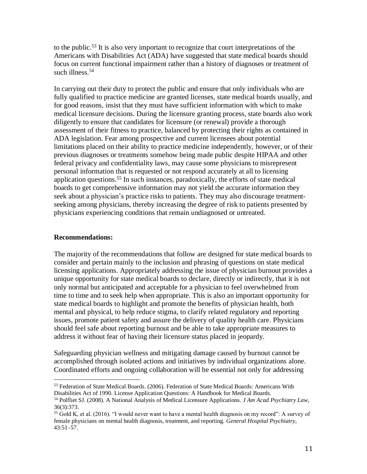to the public.<sup>53</sup> It is also very important to recognize that court interpretations of the Americans with Disabilities Act (ADA) have suggested that state medical boards should focus on current functional impairment rather than a history of diagnoses or treatment of such illness.<sup>54</sup>

In carrying out their duty to protect the public and ensure that only individuals who are fully qualified to practice medicine are granted licenses, state medical boards usually, and for good reasons, insist that they must have sufficient information with which to make medical licensure decisions. During the licensure granting process, state boards also work diligently to ensure that candidates for licensure (or renewal) provide a thorough assessment of their fitness to practice, balanced by protecting their rights as contained in ADA legislation. Fear among prospective and current licensees about potential limitations placed on their ability to practice medicine independently, however, or of their previous diagnoses or treatments somehow being made public despite HIPAA and other federal privacy and confidentiality laws, may cause some physicians to misrepresent personal information that is requested or not respond accurately at all to licensing application questions.<sup>55</sup> In such instances, paradoxically, the efforts of state medical boards to get comprehensive information may not yield the accurate information they seek about a physician's practice risks to patients. They may also discourage treatmentseeking among physicians, thereby increasing the degree of risk to patients presented by physicians experiencing conditions that remain undiagnosed or untreated.

#### **Recommendations:**

 $\overline{\phantom{a}}$ 

The majority of the recommendations that follow are designed for state medical boards to consider and pertain mainly to the inclusion and phrasing of questions on state medical licensing applications. Appropriately addressing the issue of physician burnout provides a unique opportunity for state medical boards to declare, directly or indirectly, that it is not only normal but anticipated and acceptable for a physician to feel overwhelmed from time to time and to seek help when appropriate. This is also an important opportunity for state medical boards to highlight and promote the benefits of physician health, both mental and physical, to help reduce stigma, to clarify related regulatory and reporting issues, promote patient safety and assure the delivery of quality health care. Physicians should feel safe about reporting burnout and be able to take appropriate measures to address it without fear of having their licensure status placed in jeopardy.

Safeguarding physician wellness and mitigating damage caused by burnout cannot be accomplished through isolated actions and initiatives by individual organizations alone. Coordinated efforts and ongoing collaboration will be essential not only for addressing

<sup>&</sup>lt;sup>53</sup> Federation of State Medical Boards. (2006). Federation of State Medical Boards: Americans With Disabilities Act of 1990. License Application Questions: A Handbook for Medical Boards.

<sup>54</sup> Polfliet SJ. (2008). A National Analysis of Medical Licensure Applications. *J Am Acad Psychiatry Law*, 36(3):373.

<sup>55</sup> Gold K, et al. (2016). "I would never want to have a mental health diagnosis on my record": A survey of female physicians on mental health diagnosis, treatment, and reporting. *General Hospital Psychiatry,* 43:51–57.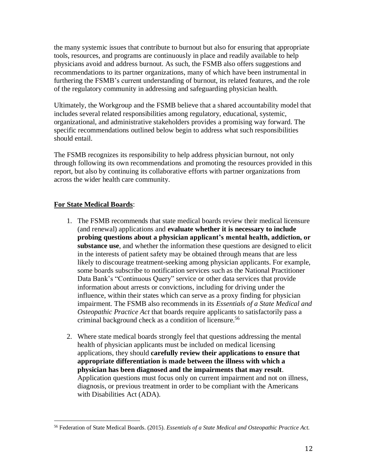the many systemic issues that contribute to burnout but also for ensuring that appropriate tools, resources, and programs are continuously in place and readily available to help physicians avoid and address burnout. As such, the FSMB also offers suggestions and recommendations to its partner organizations, many of which have been instrumental in furthering the FSMB's current understanding of burnout, its related features, and the role of the regulatory community in addressing and safeguarding physician health.

Ultimately, the Workgroup and the FSMB believe that a shared accountability model that includes several related responsibilities among regulatory, educational, systemic, organizational, and administrative stakeholders provides a promising way forward. The specific recommendations outlined below begin to address what such responsibilities should entail.

The FSMB recognizes its responsibility to help address physician burnout, not only through following its own recommendations and promoting the resources provided in this report, but also by continuing its collaborative efforts with partner organizations from across the wider health care community.

# **For State Medical Boards**:

- 1. The FSMB recommends that state medical boards review their medical licensure (and renewal) applications and **evaluate whether it is necessary to include probing questions about a physician applicant's mental health, addiction, or substance use**, and whether the information these questions are designed to elicit in the interests of patient safety may be obtained through means that are less likely to discourage treatment-seeking among physician applicants. For example, some boards subscribe to notification services such as the National Practitioner Data Bank's "Continuous Query" service or other data services that provide information about arrests or convictions, including for driving under the influence, within their states which can serve as a proxy finding for physician impairment. The FSMB also recommends in its *Essentials of a State Medical and Osteopathic Practice Act* that boards require applicants to satisfactorily pass a criminal background check as a condition of licensure.<sup>56</sup>
- 2. Where state medical boards strongly feel that questions addressing the mental health of physician applicants must be included on medical licensing applications, they should **carefully review their applications to ensure that appropriate differentiation is made between the illness with which a physician has been diagnosed and the impairments that may result**. Application questions must focus only on current impairment and not on illness, diagnosis, or previous treatment in order to be compliant with the Americans with Disabilities Act (ADA).

<sup>56</sup> Federation of State Medical Boards. (2015). *Essentials of a State Medical and Osteopathic Practice Act.*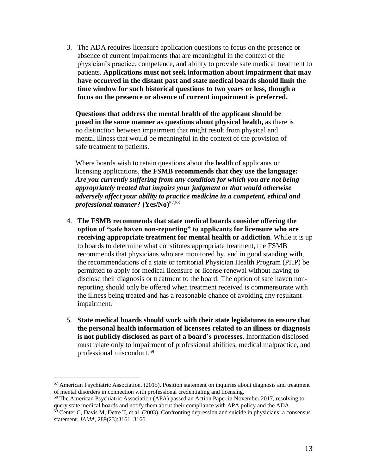3. The ADA requires licensure application questions to focus on the presence or absence of current impairments that are meaningful in the context of the physician's practice, competence, and ability to provide safe medical treatment to patients. **Applications must not seek information about impairment that may have occurred in the distant past and state medical boards should limit the time window for such historical questions to two years or less, though a focus on the presence or absence of current impairment is preferred.**

**Questions that address the mental health of the applicant should be posed in the same manner as questions about physical health,** as there is no distinction between impairment that might result from physical and mental illness that would be meaningful in the context of the provision of safe treatment to patients.

Where boards wish to retain questions about the health of applicants on licensing applications, **the FSMB recommends that they use the language:**  *Are you currently suffering from any condition for which you are not being appropriately treated that impairs your judgment or that would otherwise adversely affect your ability to practice medicine in a competent, ethical and professional manner?* **(Yes/No)**57,58

- 4. **The FSMB recommends that state medical boards consider offering the option of "safe haven non-reporting" to applicants for licensure who are receiving appropriate treatment for mental health or addiction**. While it is up to boards to determine what constitutes appropriate treatment, the FSMB recommends that physicians who are monitored by, and in good standing with, the recommendations of a state or territorial Physician Health Program (PHP) be permitted to apply for medical licensure or license renewal without having to disclose their diagnosis or treatment to the board. The option of safe haven nonreporting should only be offered when treatment received is commensurate with the illness being treated and has a reasonable chance of avoiding any resultant impairment.
- 5. **State medical boards should work with their state legislatures to ensure that the personal health information of licensees related to an illness or diagnosis is not publicly disclosed as part of a board's processes**. Information disclosed must relate only to impairment of professional abilities, medical malpractice, and professional misconduct.<sup>59</sup>

 $57$  American Psychiatric Association. (2015). Position statement on inquiries about diagnosis and treatment of mental disorders in connection with professional credentialing and licensing.

<sup>&</sup>lt;sup>58</sup> The American Psychiatric Association (APA) passed an Action Paper in November 2017, resolving to query state medical boards and notify them about their compliance with APA policy and the ADA.

 $59$  Center C, Davis M, Detre T, et al. (2003). Confronting depression and suicide in physicians: a consensus statement. *JAMA*, 289(23):3161–3166.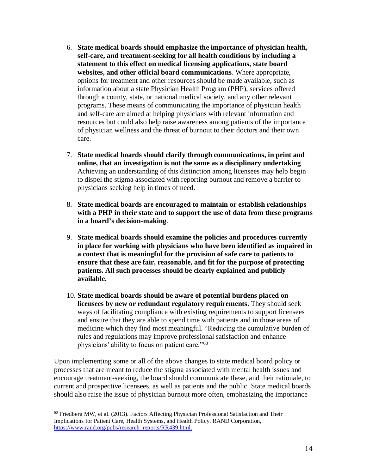- 6. **State medical boards should emphasize the importance of physician health, self-care, and treatment-seeking for all health conditions by including a statement to this effect on medical licensing applications, state board websites, and other official board communications**. Where appropriate, options for treatment and other resources should be made available, such as information about a state Physician Health Program (PHP), services offered through a county, state, or national medical society, and any other relevant programs. These means of communicating the importance of physician health and self-care are aimed at helping physicians with relevant information and resources but could also help raise awareness among patients of the importance of physician wellness and the threat of burnout to their doctors and their own care.
- 7. **State medical boards should clarify through communications, in print and online, that an investigation is not the same as a disciplinary undertaking**. Achieving an understanding of this distinction among licensees may help begin to dispel the stigma associated with reporting burnout and remove a barrier to physicians seeking help in times of need.
- 8. **State medical boards are encouraged to maintain or establish relationships with a PHP in their state and to support the use of data from these programs in a board's decision-making**.
- 9. **State medical boards should examine the policies and procedures currently in place for working with physicians who have been identified as impaired in a context that is meaningful for the provision of safe care to patients to ensure that these are fair, reasonable, and fit for the purpose of protecting patients. All such processes should be clearly explained and publicly available.**
- 10. **State medical boards should be aware of potential burdens placed on licensees by new or redundant regulatory requirements**. They should seek ways of facilitating compliance with existing requirements to support licensees and ensure that they are able to spend time with patients and in those areas of medicine which they find most meaningful. "Reducing the cumulative burden of rules and regulations may improve professional satisfaction and enhance physicians' ability to focus on patient care."<sup>60</sup>

Upon implementing some or all of the above changes to state medical board policy or processes that are meant to reduce the stigma associated with mental health issues and encourage treatment-seeking, the board should communicate these, and their rationale, to current and prospective licensees, as well as patients and the public. State medical boards should also raise the issue of physician burnout more often, emphasizing the importance

 $60$  Friedberg MW, et al. (2013). Factors Affecting Physician Professional Satisfaction and Their Implications for Patient Care, Health Systems, and Health Policy. RAND Corporation, [https://www.rand.org/pubs/research\\_reports/RR439.html.](https://www.rand.org/pubs/research_reports/RR439.html)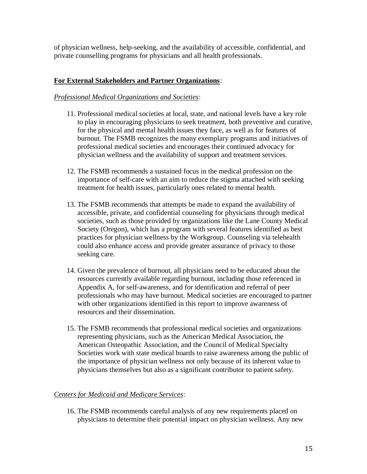of physician wellness, help-seeking, and the availability of accessible, confidential, and private counselling programs for physicians and all health professionals.

## **For External Stakeholders and Partner Organizations**:

### *Professional Medical Organizations and Societies*:

- 11. Professional medical societies at local, state, and national levels have a key role to play in encouraging physicians to seek treatment, both preventive and curative, for the physical and mental health issues they face, as well as for features of burnout. The FSMB recognizes the many exemplary programs and initiatives of professional medical societies and encourages their continued advocacy for physician wellness and the availability of support and treatment services.
- 12. The FSMB recommends a sustained focus in the medical profession on the importance of self-care with an aim to reduce the stigma attached with seeking treatment for health issues, particularly ones related to mental health.
- 13. The FSMB recommends that attempts be made to expand the availability of accessible, private, and confidential counseling for physicians through medical societies, such as those provided by organizations like the Lane County Medical Society (Oregon), which has a program with several features identified as best practices for physician wellness by the Workgroup. Counseling via telehealth could also enhance access and provide greater assurance of privacy to those seeking care.
- 14. Given the prevalence of burnout, all physicians need to be educated about the resources currently available regarding burnout, including those referenced in Appendix A, for self-awareness, and for identification and referral of peer professionals who may have burnout. Medical societies are encouraged to partner with other organizations identified in this report to improve awareness of resources and their dissemination.
- 15. The FSMB recommends that professional medical societies and organizations representing physicians, such as the American Medical Association, the American Osteopathic Association, and the Council of Medical Specialty Societies work with state medical boards to raise awareness among the public of the importance of physician wellness not only because of its inherent value to physicians themselves but also as a significant contributor to patient safety.

## *Centers for Medicaid and Medicare Services*:

16. The FSMB recommends careful analysis of any new requirements placed on physicians to determine their potential impact on physician wellness. Any new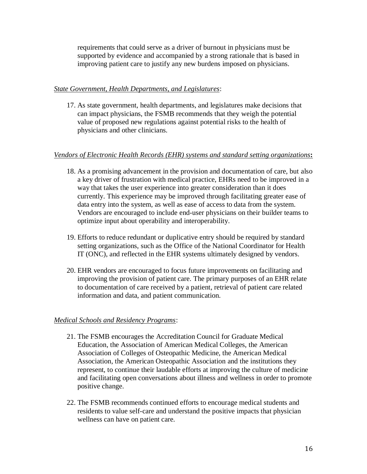requirements that could serve as a driver of burnout in physicians must be supported by evidence and accompanied by a strong rationale that is based in improving patient care to justify any new burdens imposed on physicians.

### *State Government, Health Departments, and Legislatures*:

17. As state government, health departments, and legislatures make decisions that can impact physicians, the FSMB recommends that they weigh the potential value of proposed new regulations against potential risks to the health of physicians and other clinicians.

## *Vendors of Electronic Health Records (EHR) systems and standard setting organizations***:**

- 18. As a promising advancement in the provision and documentation of care, but also a key driver of frustration with medical practice, EHRs need to be improved in a way that takes the user experience into greater consideration than it does currently. This experience may be improved through facilitating greater ease of data entry into the system, as well as ease of access to data from the system. Vendors are encouraged to include end-user physicians on their builder teams to optimize input about operability and interoperability.
- 19. Efforts to reduce redundant or duplicative entry should be required by standard setting organizations, such as the Office of the National Coordinator for Health IT (ONC), and reflected in the EHR systems ultimately designed by vendors.
- 20. EHR vendors are encouraged to focus future improvements on facilitating and improving the provision of patient care. The primary purposes of an EHR relate to documentation of care received by a patient, retrieval of patient care related information and data, and patient communication.

#### *Medical Schools and Residency Programs*:

- 21. The FSMB encourages the Accreditation Council for Graduate Medical Education, the Association of American Medical Colleges, the American Association of Colleges of Osteopathic Medicine, the American Medical Association, the American Osteopathic Association and the institutions they represent, to continue their laudable efforts at improving the culture of medicine and facilitating open conversations about illness and wellness in order to promote positive change.
- 22. The FSMB recommends continued efforts to encourage medical students and residents to value self-care and understand the positive impacts that physician wellness can have on patient care.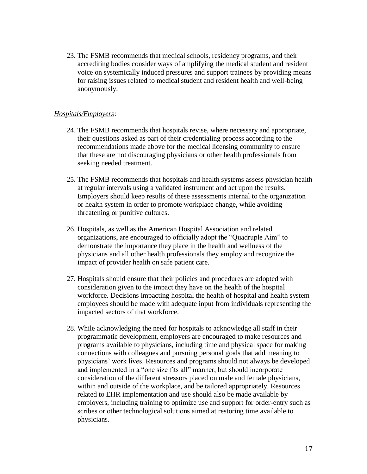23. The FSMB recommends that medical schools, residency programs, and their accrediting bodies consider ways of amplifying the medical student and resident voice on systemically induced pressures and support trainees by providing means for raising issues related to medical student and resident health and well-being anonymously.

#### *Hospitals/Employers*:

- 24. The FSMB recommends that hospitals revise, where necessary and appropriate, their questions asked as part of their credentialing process according to the recommendations made above for the medical licensing community to ensure that these are not discouraging physicians or other health professionals from seeking needed treatment.
- 25. The FSMB recommends that hospitals and health systems assess physician health at regular intervals using a validated instrument and act upon the results. Employers should keep results of these assessments internal to the organization or health system in order to promote workplace change, while avoiding threatening or punitive cultures.
- 26. Hospitals, as well as the American Hospital Association and related organizations, are encouraged to officially adopt the "Quadruple Aim" to demonstrate the importance they place in the health and wellness of the physicians and all other health professionals they employ and recognize the impact of provider health on safe patient care.
- 27. Hospitals should ensure that their policies and procedures are adopted with consideration given to the impact they have on the health of the hospital workforce. Decisions impacting hospital the health of hospital and health system employees should be made with adequate input from individuals representing the impacted sectors of that workforce.
- 28. While acknowledging the need for hospitals to acknowledge all staff in their programmatic development, employers are encouraged to make resources and programs available to physicians, including time and physical space for making connections with colleagues and pursuing personal goals that add meaning to physicians' work lives. Resources and programs should not always be developed and implemented in a "one size fits all" manner, but should incorporate consideration of the different stressors placed on male and female physicians, within and outside of the workplace, and be tailored appropriately. Resources related to EHR implementation and use should also be made available by employers, including training to optimize use and support for order-entry such as scribes or other technological solutions aimed at restoring time available to physicians.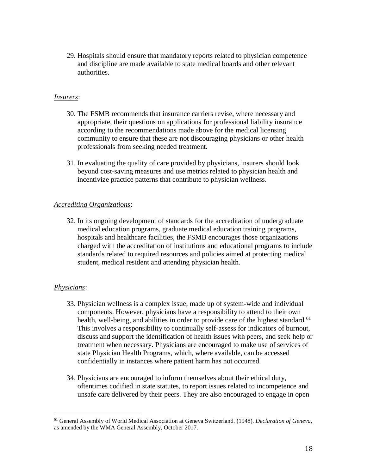29. Hospitals should ensure that mandatory reports related to physician competence and discipline are made available to state medical boards and other relevant authorities.

### *Insurers*:

- 30. The FSMB recommends that insurance carriers revise, where necessary and appropriate, their questions on applications for professional liability insurance according to the recommendations made above for the medical licensing community to ensure that these are not discouraging physicians or other health professionals from seeking needed treatment.
- 31. In evaluating the quality of care provided by physicians, insurers should look beyond cost-saving measures and use metrics related to physician health and incentivize practice patterns that contribute to physician wellness.

#### *Accrediting Organizations*:

32. In its ongoing development of standards for the accreditation of undergraduate medical education programs, graduate medical education training programs, hospitals and healthcare facilities, the FSMB encourages those organizations charged with the accreditation of institutions and educational programs to include standards related to required resources and policies aimed at protecting medical student, medical resident and attending physician health.

#### *Physicians*:

l

- 33. Physician wellness is a complex issue, made up of system-wide and individual components. However, physicians have a responsibility to attend to their own health, well-being, and abilities in order to provide care of the highest standard.<sup>61</sup> This involves a responsibility to continually self-assess for indicators of burnout, discuss and support the identification of health issues with peers, and seek help or treatment when necessary. Physicians are encouraged to make use of services of state Physician Health Programs, which, where available, can be accessed confidentially in instances where patient harm has not occurred.
- 34. Physicians are encouraged to inform themselves about their ethical duty, oftentimes codified in state statutes, to report issues related to incompetence and unsafe care delivered by their peers. They are also encouraged to engage in open

<sup>61</sup> General Assembly of World Medical Association at Geneva Switzerland. (1948). *Declaration of Geneva,* as amended by the WMA General Assembly, October 2017.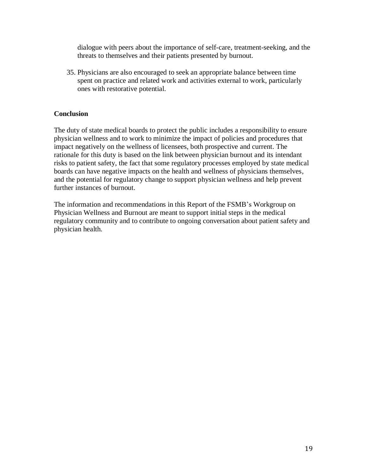dialogue with peers about the importance of self-care, treatment-seeking, and the threats to themselves and their patients presented by burnout.

35. Physicians are also encouraged to seek an appropriate balance between time spent on practice and related work and activities external to work, particularly ones with restorative potential.

## **Conclusion**

The duty of state medical boards to protect the public includes a responsibility to ensure physician wellness and to work to minimize the impact of policies and procedures that impact negatively on the wellness of licensees, both prospective and current. The rationale for this duty is based on the link between physician burnout and its intendant risks to patient safety, the fact that some regulatory processes employed by state medical boards can have negative impacts on the health and wellness of physicians themselves, and the potential for regulatory change to support physician wellness and help prevent further instances of burnout.

The information and recommendations in this Report of the FSMB's Workgroup on Physician Wellness and Burnout are meant to support initial steps in the medical regulatory community and to contribute to ongoing conversation about patient safety and physician health.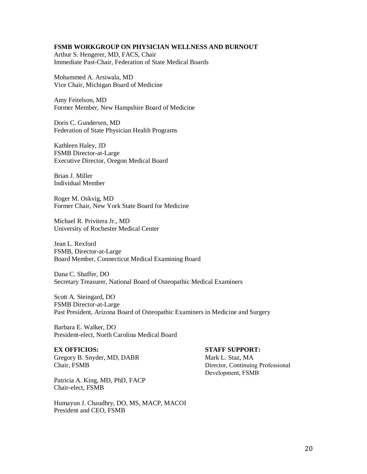#### **FSMB WORKGROUP ON PHYSICIAN WELLNESS AND BURNOUT**

Arthur S. Hengerer, MD, FACS, Chair Immediate Past-Chair, Federation of State Medical Boards

Mohammed A. Arsiwala, MD Vice Chair, Michigan Board of Medicine

Amy Feitelson, MD Former Member, New Hampshire Board of Medicine

Doris C. Gundersen, MD Federation of State Physician Health Programs

Kathleen Haley, JD FSMB Director-at-Large Executive Director, Oregon Medical Board

Brian J. Miller Individual Member

Roger M. Oskvig, MD Former Chair, New York State Board for Medicine

Michael R. Privitera Jr., MD University of Rochester Medical Center

Jean L. Rexford FSMB, Director-at-Large Board Member, Connecticut Medical Examining Board

Dana C. Shaffer, DO Secretary Treasurer, National Board of Osteopathic Medical Examiners

Scott A. Steingard, DO FSMB Director-at-Large Past President, Arizona Board of Osteopathic Examiners in Medicine and Surgery

Barbara E. Walker, DO President-elect, North Carolina Medical Board

#### **EX OFFICIOS:**

Gregory B. Snyder, MD, DABR Chair, FSMB

Patricia A. King, MD, PhD, FACP Chair-elect, FSMB

Humayun J. Chaudhry, DO, MS, MACP, MACOI President and CEO, FSMB

#### **STAFF SUPPORT:**

Mark L. Staz, MA Director, Continuing Professional Development, FSMB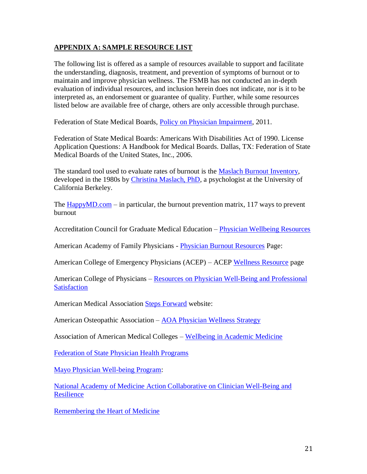## **APPENDIX A: SAMPLE RESOURCE LIST**

The following list is offered as a sample of resources available to support and facilitate the understanding, diagnosis, treatment, and prevention of symptoms of burnout or to maintain and improve physician wellness. The FSMB has not conducted an in-depth evaluation of individual resources, and inclusion herein does not indicate, nor is it to be interpreted as, an endorsement or guarantee of quality. Further, while some resources listed below are available free of charge, others are only accessible through purchase.

Federation of State Medical Boards, [Policy on Physician Impairment,](http://www.fsmb.org/Media/Default/PDF/FSMB/Advocacy/grpol_policy-on-physician-impairment.pdf) 2011.

Federation of State Medical Boards: Americans With Disabilities Act of 1990. License Application Questions: A Handbook for Medical Boards. Dallas, TX: Federation of State Medical Boards of the United States, Inc., 2006.

The standard tool used to evaluate rates of burnout is the [Maslach Burnout Inventory,](http://www.mindgarden.com/117-maslach-burnout-inventory) developed in the 1980s by [Christina Maslach, PhD,](http://psychology.berkeley.edu/people/christina-maslach) a psychologist at the University of California Berkeley.

The  $HappyMD.com - in$  particular, the burnout prevention matrix, 117 ways to prevent burnout

Accreditation Council for Graduate Medical Education – [Physician Wellbeing Resources](http://www.acgme.org/What-We-Do/Initiatives/Physician-Well-Being)

American Academy of Family Physicians - [Physician Burnout Resources](http://www.aafp.org/about/constituencies/resources/new-physicians/burnout.html) Page:

American College of Emergency Physicians (ACEP) – ACEP [Wellness Resource](https://www.acep.org/content.aspx?id=32184#sm.001bgrg0215nrfi8yhi1svdumcqw2) page

American College of Physicians – Resources on Physician Well-Being and Professional **[Satisfaction](https://www.acponline.org/practice-resources/physician-well-being-and-professional-satisfaction)** 

American Medical Association [Steps Forward](https://www.stepsforward.org/) website:

American Osteopathic Association – [AOA Physician Wellness Strategy](http://www.osteopathic.org/inside-aoa/development/research-and-development/Documents/aoa-physician-wellness-strategy.pdf)

Association of American Medical Colleges – [Wellbeing in Academic Medicine](https://www.aamc.org/initiatives/462288/articlesbooks.html)

[Federation of State Physician Health Programs](https://www.fsphp.org/)

[Mayo Physician Well-being Program:](http://www.mayo.edu/research/centers-programs/physician-well-being-program/overview)

[National Academy of Medicine Action Collaborative on Clinician Well-Being and](https://nam.edu/initiatives/clinician-resilience-and-well-being/)  **[Resilience](https://nam.edu/initiatives/clinician-resilience-and-well-being/)** 

[Remembering the Heart of Medicine](http://theheartofmedicine.org/)